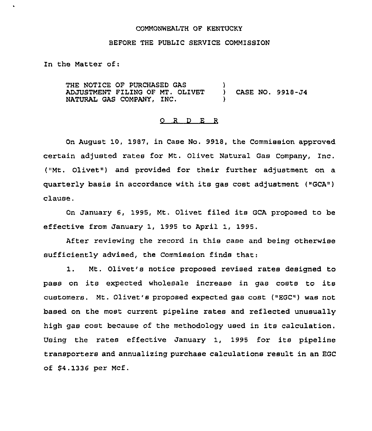#### COMMONWEALTH OF KENTUCKY

## BEFORE THE PUBLIC SERVICE COMMISSION

In the Matter of:

THE NOTICE OF PURCHASED GAS ADJUSTMENT FILING OF MT. OLIVET NATURAL GAS COMPANY, INC. ) ) CASE NO. 9918-J4 )

### 0 <sup>R</sup> <sup>D</sup> E R

On August 10, 1987, in Case No. 9918, the Commission approved certain adjusted rates for Mt. Olivet Natural Gas Company, Inc. ("Mt. Olivet") and provided for their further adjustment on a quarterly basis in accordance with its gas cost adjustment ("GCA") clause.

On January 6, 1995, Mt. Olivet filed its GCA proposed to be effective from January 1, 1995 to April 1, 1995.

After reviewing the record in this case and being otherwise sufficiently advised, the Commission finds that:

1. Mt. Olivet's notice proposed revised rates designed to pass on its expected wholesale increase in gas costs to its customers. Mt, Olivet's proposed expected gas cost ("EGC") was not based on the most current pipeline rates and reflected unusually high gas cost because of the methodology used in its calculation. Using the rates effective January 1, 1995 for its pipeline transporters and annualizing purchase calculations result in an EGC of \$4.1336 per Mcf.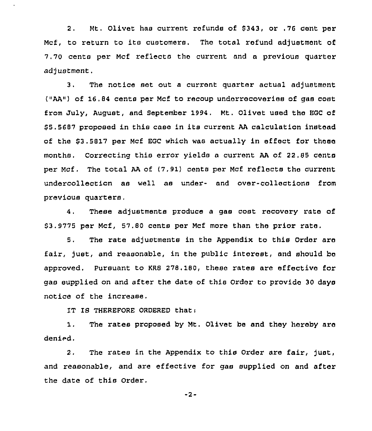2. Mt. Olivet has current refunds of 8343, or .76 cont per Mcf, to return to its customers. The total refund adjustment of 7.70 cents per Mcf reflects the cuzrent and a previous quarter adjustment.

3. The notice set out a current quarter actual adjustment ("AA") of 16.84 cents per Mcf to recoup undorrecoveries of gas cost from July, August, and September 1994. Mt. Olivet used the EGC of \$ 5.5687 proposed in this case in its curzent AA calculation instead of the \$3.5817 per Mcf EGC which was actually in effect for these months. Correcting this error yields a current AA of 22,85 cents per Mcf . The total AA of (7.91) cents per Mcf reflects the current undercollection as well as under- and over-collections from previous quarters.

4. These adjustments produce a gas cost recovery rate of 63.9775 per Mcf, 57.80 cents per Mcf more than the prior rate,

5. The rate adjustments in the Appendix to this Order are fair, just, and reasonable, in the public interest, and should be approved, Pursuant to KRS 278,180, these rates are effective foz gas supplied on and after the date of this Order to provide 30 days notice of the increase.

IT IS THEREFORE ORDERED that:

1. The rates proposed by Mt. Olivet be and they hereby aze denied.

2. The rates in the Appendix to this Order are fair, just, and reasonable, and are effective for gas supplied on and after the date of this Order.

 $-2-$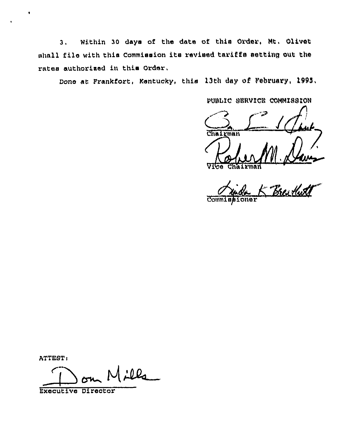3, Within 30 days of the date of this Order, Mt, Olivet shall file with this Commission its revised tariffs setting out the rates authorised in this Order,

Done at Frankfort, Kentucky, this 13th day of February, 1995,

PUBLIC SERVICE COMMISSION

 $\frac{C}{\frac{C}{\text{Chalgram}}}\left(\frac{1}{\sqrt{2}}\right)$ 

VI<del>Ce Chairma</del>

 $C$ omm $I$ 

ATTEST<

 $\sum_{\text{outive}} M \angle LQ$ 

Executive Director